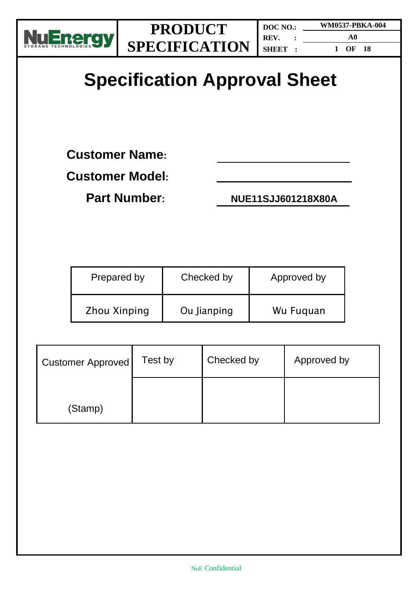

**A0**

**1 OF 18**

# **Specification Approval Sheet**

**Customer Name:**

**Customer Model:**

**Part Number: NUE11SJJ601218X80A**

| Prepared by         | Checked by  | Approved by |
|---------------------|-------------|-------------|
| <b>Zhou Xinping</b> | Ou Jianping | Wu Fuguan   |

| <b>Customer Approved</b> | Test by | Checked by | Approved by |
|--------------------------|---------|------------|-------------|
| (Stamp)                  |         |            |             |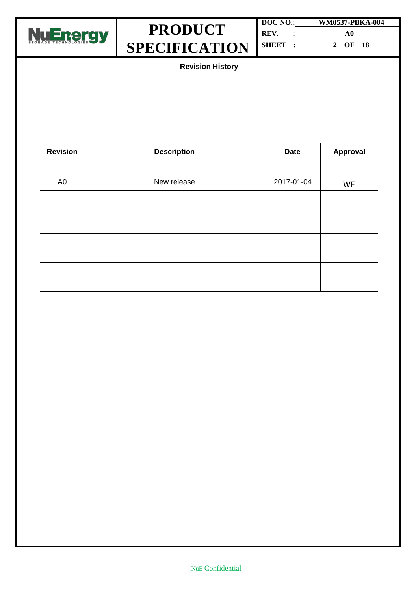

**DOC NO.: WM0537-PBKA-004 REV. : A0 SHEET : 2 OF 18**

**Revision History**

| <b>Revision</b> | <b>Description</b><br><b>Date</b> |            | <b>Approval</b> |
|-----------------|-----------------------------------|------------|-----------------|
|                 |                                   |            |                 |
| A <sub>0</sub>  | New release                       | 2017-01-04 | WF              |
|                 |                                   |            |                 |
|                 |                                   |            |                 |
|                 |                                   |            |                 |
|                 |                                   |            |                 |
|                 |                                   |            |                 |
|                 |                                   |            |                 |
|                 |                                   |            |                 |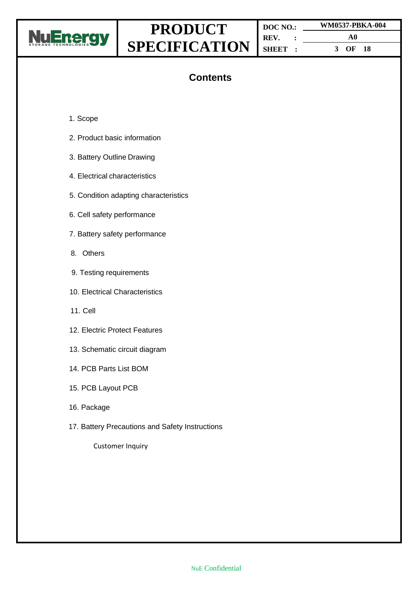

**DOC NO.: REV. : SHEET : WM0537-PBKA-004 A0 3 OF 18**

## **Contents**

- 1. Scope
- 2. Product basic information
- 3. Battery Outline Drawing
- 4. Electrical characteristics
- 5. Condition adapting characteristics
- 6. Cell safety performance
- 7. Battery safety performance
- 8. Others
- 9. Testing requirements
- 10. Electrical Characteristics
- 11. Cell
- 12. Electric Protect Features
- 13. Schematic circuit diagram
- 14. PCB Parts List BOM
- 15. PCB Layout PCB
- 16. Package
- 17. Battery Precautions and Safety Instructions

Customer Inquiry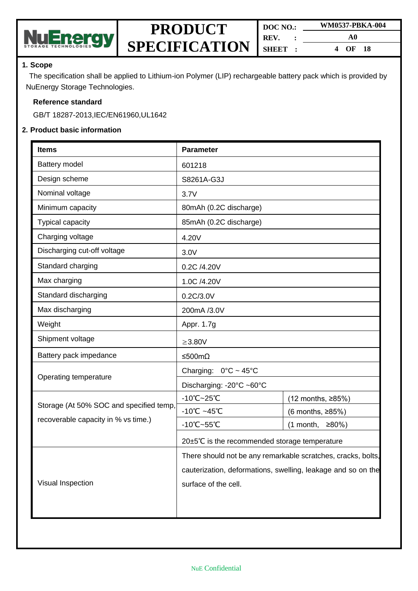

| DOC NO.       | WM0537-PBKA-004 |  |  |
|---------------|-----------------|--|--|
| REV.          | A0              |  |  |
| <b>SHBET:</b> | OF 18<br>4      |  |  |

#### **1. Scope**

The specification shall be applied to Lithium-ion Polymer (LIP) rechargeable battery pack which is provided by NuEnergy Storage Technologies.

#### **Reference standard**

GB/T 18287-2013,IEC/EN61960,UL1642

#### **2. Product basic information**

| <b>Items</b>                            | <b>Parameter</b>                                             |                   |  |
|-----------------------------------------|--------------------------------------------------------------|-------------------|--|
| Battery model                           | 601218                                                       |                   |  |
| Design scheme                           | S8261A-G3J                                                   |                   |  |
| Nominal voltage                         | 3.7V                                                         |                   |  |
| Minimum capacity                        | 80mAh (0.2C discharge)                                       |                   |  |
| <b>Typical capacity</b>                 | 85mAh (0.2C discharge)                                       |                   |  |
| Charging voltage                        | 4.20V                                                        |                   |  |
| Discharging cut-off voltage             | 3.0V                                                         |                   |  |
| Standard charging                       | 0.2C /4.20V                                                  |                   |  |
| Max charging                            | 1.0C /4.20V                                                  |                   |  |
| Standard discharging                    | 0.2C/3.0V                                                    |                   |  |
| Max discharging                         | 200mA /3.0V                                                  |                   |  |
| Weight                                  | Appr. 1.7g                                                   |                   |  |
| Shipment voltage                        | $\geq$ 3.80V                                                 |                   |  |
| Battery pack impedance                  | ≤500mΩ                                                       |                   |  |
| Operating temperature                   | Charging: $0^{\circ}$ C ~ 45°C                               |                   |  |
|                                         | Discharging: -20°C ~60°C                                     |                   |  |
| Storage (At 50% SOC and specified temp, | $-10^{\circ}$ C $-25^{\circ}$ C                              | (12 months, ≥85%) |  |
|                                         | $-10^{\circ}$ C ~45 $^{\circ}$ C                             | (6 months, ≥85%)  |  |
| recoverable capacity in % vs time.)     | $-10^{\circ}$ C $-55^{\circ}$ C                              | $(1$ month, ≥80%) |  |
|                                         | 20±5℃ is the recommended storage temperature                 |                   |  |
|                                         | There should not be any remarkable scratches, cracks, bolts, |                   |  |
|                                         | cauterization, deformations, swelling, leakage and so on the |                   |  |
| Visual Inspection                       | surface of the cell.                                         |                   |  |
|                                         |                                                              |                   |  |
|                                         |                                                              |                   |  |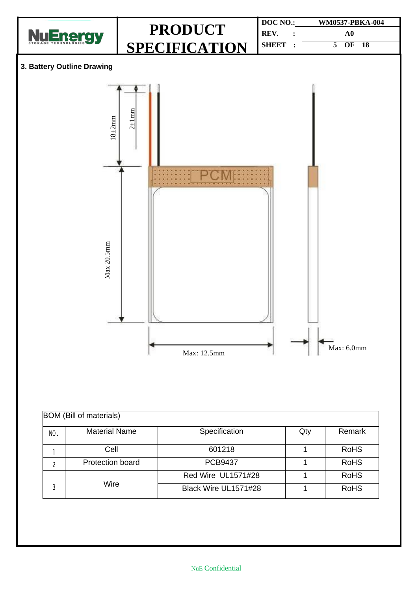

| <b>BOM</b> (Bill of materials) |                         |                      |     |             |  |  |  |
|--------------------------------|-------------------------|----------------------|-----|-------------|--|--|--|
| NO.                            | <b>Material Name</b>    | Specification        | Qty | Remark      |  |  |  |
|                                | Cell                    | 601218               |     | <b>RoHS</b> |  |  |  |
|                                | <b>Protection board</b> | <b>PCB9437</b>       |     | <b>RoHS</b> |  |  |  |
|                                |                         | Red Wire UL1571#28   |     | <b>RoHS</b> |  |  |  |
|                                | Wire                    | Black Wire UL1571#28 |     | <b>RoHS</b> |  |  |  |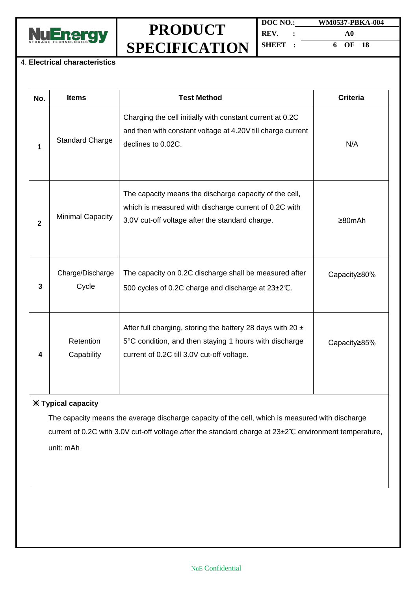

**DOC NO.: WM0537-PBKA-004 REV. : A0 SHEET : 6 OF 18**

#### 4. **Electrical characteristics**

| No.          | <b>Items</b>                                                                                                                                                                                              | <b>Test Method</b>                                                                                                                                                     | <b>Criteria</b> |  |  |  |
|--------------|-----------------------------------------------------------------------------------------------------------------------------------------------------------------------------------------------------------|------------------------------------------------------------------------------------------------------------------------------------------------------------------------|-----------------|--|--|--|
| 1            | <b>Standard Charge</b>                                                                                                                                                                                    | Charging the cell initially with constant current at 0.2C<br>and then with constant voltage at 4.20V till charge current<br>declines to 0.02C.                         | N/A             |  |  |  |
| $\mathbf{2}$ | <b>Minimal Capacity</b>                                                                                                                                                                                   | The capacity means the discharge capacity of the cell,<br>which is measured with discharge current of 0.2C with<br>3.0V cut-off voltage after the standard charge.     | $\geq 80$ mAh   |  |  |  |
| 3            | Charge/Discharge<br>Cycle                                                                                                                                                                                 | The capacity on 0.2C discharge shall be measured after<br>500 cycles of 0.2C charge and discharge at 23±2°C.                                                           | Capacity≥80%    |  |  |  |
| 4            | Retention<br>Capability                                                                                                                                                                                   | After full charging, storing the battery 28 days with 20 $\pm$<br>5°C condition, and then staying 1 hours with discharge<br>current of 0.2C till 3.0V cut-off voltage. | Capacity≥85%    |  |  |  |
|              | <b>※ Typical capacity</b>                                                                                                                                                                                 |                                                                                                                                                                        |                 |  |  |  |
|              | The capacity means the average discharge capacity of the cell, which is measured with discharge<br>current of 0.2C with 3.0V cut-off voltage after the standard charge at 23±2°C environment temperature, |                                                                                                                                                                        |                 |  |  |  |

unit: mAh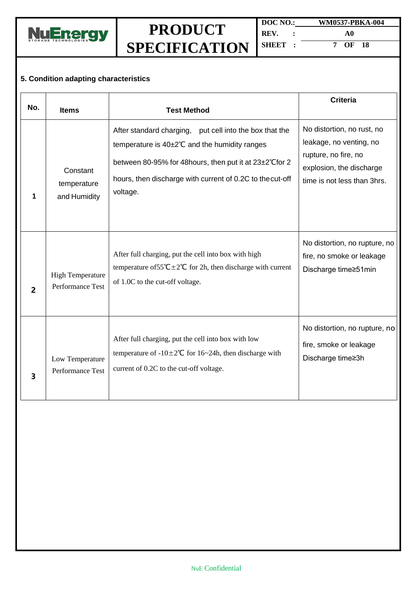

**DOC NO.: WM0537-PBKA-004 REV. : A0 SHEET : 7 OF 18**

## **5. Condition adapting characteristics**

| No. | <b>Items</b>                                       | <b>Test Method</b>                                                                                                                                                                                                                            | <b>Criteria</b>                                                                                                                          |
|-----|----------------------------------------------------|-----------------------------------------------------------------------------------------------------------------------------------------------------------------------------------------------------------------------------------------------|------------------------------------------------------------------------------------------------------------------------------------------|
| 1   | Constant<br>temperature<br>and Humidity            | After standard charging, put cell into the box that the<br>temperature is 40±2°C and the humidity ranges<br>between 80-95% for 48 hours, then put it at 23±2°C for 2<br>hours, then discharge with current of 0.2C to the cut-off<br>voltage. | No distortion, no rust, no<br>leakage, no venting, no<br>rupture, no fire, no<br>explosion, the discharge<br>time is not less than 3hrs. |
| 2   | <b>High Temperature</b><br><b>Performance Test</b> | After full charging, put the cell into box with high<br>temperature of $55^{\circ}C \pm 2^{\circ}C$ for 2h, then discharge with current<br>of 1.0C to the cut-off voltage.                                                                    | No distortion, no rupture, no<br>fire, no smoke or leakage<br>Discharge time≥51min                                                       |
| 3   | Low Temperature<br>Performance Test                | After full charging, put the cell into box with low<br>temperature of $-10\pm 2^{\circ}$ C for 16~24h, then discharge with<br>current of 0.2C to the cut-off voltage.                                                                         | No distortion, no rupture, no<br>fire, smoke or leakage<br>Discharge time≥3h                                                             |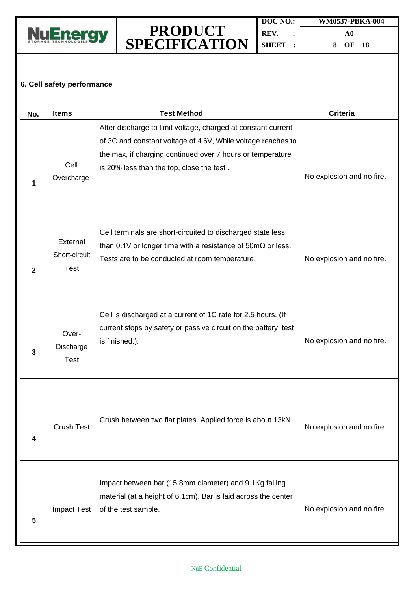

### **6. Cell safety performance**

| No. | <b>Items</b>                      | <b>Test Method</b>                                                                                                                                                                                                                       | <b>Criteria</b>           |
|-----|-----------------------------------|------------------------------------------------------------------------------------------------------------------------------------------------------------------------------------------------------------------------------------------|---------------------------|
| 1   | Cell<br>Overcharge                | After discharge to limit voltage, charged at constant current<br>of 3C and constant voltage of 4.6V, While voltage reaches to<br>the max, if charging continued over 7 hours or temperature<br>is 20% less than the top, close the test. | No explosion and no fire. |
| 2   | External<br>Short-circuit<br>Test | Cell terminals are short-circuited to discharged state less<br>than 0.1V or longer time with a resistance of $50 \text{m}\Omega$ or less.<br>Tests are to be conducted at room temperature.                                              | No explosion and no fire. |
| 3   | Over-<br>Discharge<br><b>Test</b> | Cell is discharged at a current of 1C rate for 2.5 hours. (If<br>current stops by safety or passive circuit on the battery, test<br>is finished.).                                                                                       | No explosion and no fire. |
| 4   | <b>Crush Test</b>                 | Crush between two flat plates. Applied force is about 13kN.                                                                                                                                                                              | No explosion and no fire. |
| 5   | <b>Impact Test</b>                | Impact between bar (15.8mm diameter) and 9.1Kg falling<br>material (at a height of 6.1cm). Bar is laid across the center<br>of the test sample.                                                                                          | No explosion and no fire. |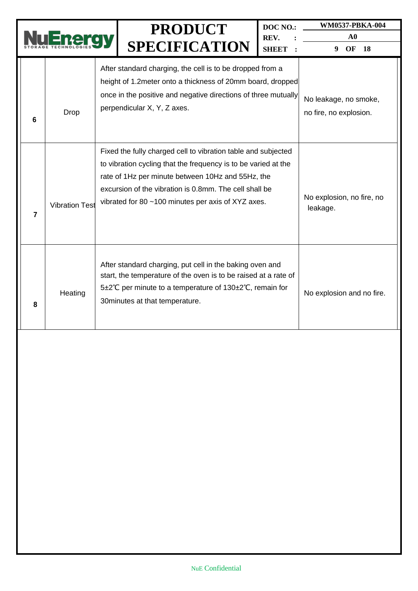|                |                                                                                                                                                                                                                                       |  | <b>PRODUCT</b><br><b>SPECIFICATION</b>                                                                                                                                                                                                                                                               | DOC NO.:<br>REV.<br><b>SHEET</b> | WM0537-PBKA-004<br>${\bf A0}$<br>9<br>OF<br><b>18</b> |
|----------------|---------------------------------------------------------------------------------------------------------------------------------------------------------------------------------------------------------------------------------------|--|------------------------------------------------------------------------------------------------------------------------------------------------------------------------------------------------------------------------------------------------------------------------------------------------------|----------------------------------|-------------------------------------------------------|
| 6              | Drop                                                                                                                                                                                                                                  |  | After standard charging, the cell is to be dropped from a<br>height of 1.2 meter onto a thickness of 20mm board, dropped<br>once in the positive and negative directions of three mutually<br>perpendicular X, Y, Z axes.                                                                            |                                  | No leakage, no smoke,<br>no fire, no explosion.       |
| $\overline{7}$ | <b>Vibration Test</b>                                                                                                                                                                                                                 |  | Fixed the fully charged cell to vibration table and subjected<br>to vibration cycling that the frequency is to be varied at the<br>rate of 1Hz per minute between 10Hz and 55Hz, the<br>excursion of the vibration is 0.8mm. The cell shall be<br>vibrated for 80 ~100 minutes per axis of XYZ axes. |                                  | No explosion, no fire, no<br>leakage.                 |
| 8              | After standard charging, put cell in the baking oven and<br>start, the temperature of the oven is to be raised at a rate of<br>5±2°C per minute to a temperature of 130±2°C, remain for<br>Heating<br>30 minutes at that temperature. |  | No explosion and no fire.                                                                                                                                                                                                                                                                            |                                  |                                                       |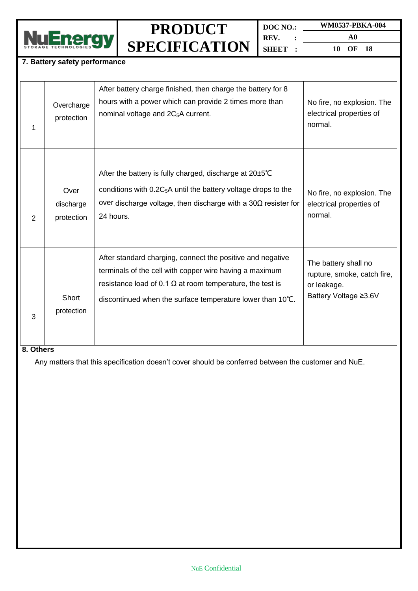

**DOC NO.: WM0537-PBKA-004 REV. : SHEET :**

**A0 10 OF 18**

### **7. Battery safety performance**

| 1 | Overcharge<br>protection        | After battery charge finished, then charge the battery for 8<br>hours with a power which can provide 2 times more than<br>nominal voltage and 2C <sub>5</sub> A current.                                                                                | No fire, no explosion. The<br>electrical properties of<br>normal.                           |
|---|---------------------------------|---------------------------------------------------------------------------------------------------------------------------------------------------------------------------------------------------------------------------------------------------------|---------------------------------------------------------------------------------------------|
| 2 | Over<br>discharge<br>protection | After the battery is fully charged, discharge at $20\pm5^{\circ}C$<br>conditions with 0.2C <sub>5</sub> A until the battery voltage drops to the<br>over discharge voltage, then discharge with a $30\Omega$ resister for<br>24 hours.                  | No fire, no explosion. The<br>electrical properties of<br>normal.                           |
| 3 | Short<br>protection             | After standard charging, connect the positive and negative<br>terminals of the cell with copper wire having a maximum<br>resistance load of 0.1 $\Omega$ at room temperature, the test is<br>discontinued when the surface temperature lower than 10°C. | The battery shall no<br>rupture, smoke, catch fire,<br>or leakage.<br>Battery Voltage ≥3.6V |

#### **8. Others**

Any matters that this specification doesn't cover should be conferred between the customer and NuE.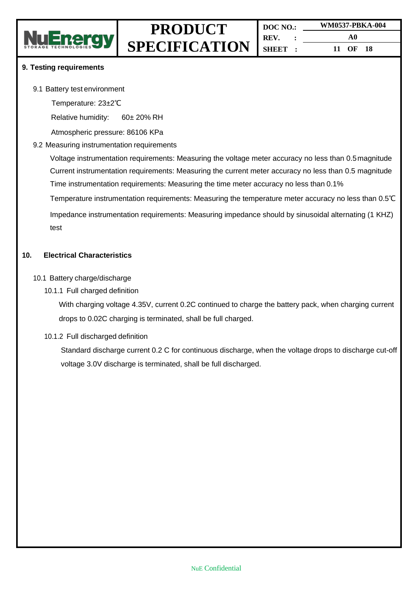

#### **9. Testing requirements**

9.1 Battery test environment

Temperature: 23±2℃

Relative humidity: 60± 20% RH

Atmospheric pressure: 86106 KPa

#### 9.2 Measuring instrumentation requirements

Voltage instrumentation requirements: Measuring the voltage meter accuracy no less than 0.5magnitude Current instrumentation requirements: Measuring the current meter accuracy no less than 0.5 magnitude Time instrumentation requirements: Measuring the time meter accuracy no less than 0.1%

Temperature instrumentation requirements: Measuring the temperature meter accuracy no less than 0.5℃

Impedance instrumentation requirements: Measuring impedance should by sinusoidal alternating (1 KHZ) test

#### **10. Electrical Characteristics**

- 10.1 Battery charge/discharge
	- 10.1.1 Full charged definition

With charging voltage 4.35V, current 0.2C continued to charge the battery pack, when charging current drops to 0.02C charging is terminated, shall be full charged.

#### 10.1.2 Full discharged definition

Standard discharge current 0.2 C for continuous discharge, when the voltage drops to discharge cut-off voltage 3.0V discharge is terminated, shall be full discharged.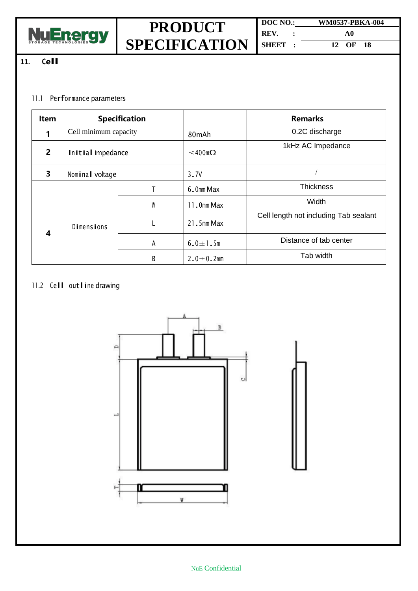

**DOC NO.: WM0537-PBKA-004 REV. : A0 SHEET : 12 OF 18**

## **11. Cell**

### 11.1 Performance parameters

| Item           | <b>Specification</b>  |   |                  | <b>Remarks</b>                        |
|----------------|-----------------------|---|------------------|---------------------------------------|
|                | Cell minimum capacity |   | 80mAh            | 0.2C discharge                        |
| $\overline{2}$ | Initial impedance     |   | $≤$ 400mΩ        | 1kHz AC Impedance                     |
| 3              | Nominal voltage       |   | 3.7V             |                                       |
|                |                       |   | 6.0mm Max        | <b>Thickness</b>                      |
|                |                       | W | 11.0mm Max       | Width                                 |
| 4              | <b>Dimensions</b>     |   | $21.5$ mm Max    | Cell length not including Tab sealant |
|                |                       | A | $6.0 + 1.5m$     | Distance of tab center                |
|                | B                     |   | $2.0 \pm 0.2$ mm | Tab width                             |

## 11.2 Cell outline drawing



#### NuE Confidential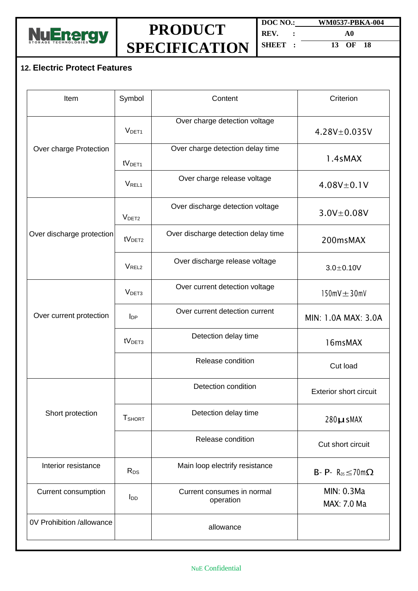

**DOC NO.: WM0537-PBKA-004 REV. : A0 SHEET : 13 OF 18**

## **12. Electric Protect Features**

| Item                      | Symbol                 | Content                                 | Criterion                               |
|---------------------------|------------------------|-----------------------------------------|-----------------------------------------|
|                           | V <sub>DET1</sub>      | Over charge detection voltage           | $4.28V + 0.035V$                        |
| Over charge Protection    | tV <sub>DET1</sub>     | Over charge detection delay time        | 1.4sMAX                                 |
|                           | V <sub>REL1</sub>      | Over charge release voltage             | $4.08V \pm 0.1V$                        |
|                           | V <sub>DET2</sub>      | Over discharge detection voltage        | $3.0V \pm 0.08V$                        |
| Over discharge protection | tV <sub>DET2</sub>     | Over discharge detection delay time     | 200msMAX                                |
|                           | V <sub>REL2</sub>      | Over discharge release voltage          | $3.0 + 0.10V$                           |
|                           | V <sub>DET3</sub>      | Over current detection voltage          | $150$ m $V \pm 30$ m $V$                |
| Over current protection   | $I_{DP}$               | Over current detection current          | MIN: 1.0A MAX: 3.0A                     |
|                           | tV <sub>DET3</sub>     | Detection delay time                    | 16msMAX                                 |
|                           |                        | Release condition                       | Cut load                                |
|                           |                        | Detection condition                     | <b>Exterior short circuit</b>           |
| Short protection          | <b>T</b> SHORT         | Detection delay time                    | $280\mu$ sMAX                           |
|                           |                        | Release condition                       | Cut short circuit                       |
| Interior resistance       | R <sub>DS</sub>        | Main loop electrify resistance          | $B - P - R_{DS} \leq 70 \text{m}\Omega$ |
| Current consumption       | <b>I</b> <sub>DD</sub> | Current consumes in normal<br>operation | MIN: 0.3Ma<br>MAX: 7.0 Ma               |
| 0V Prohibition /allowance |                        | allowance                               |                                         |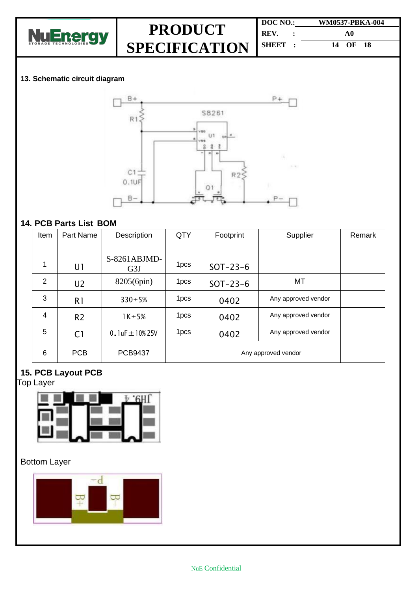

| DOC NO. | <b>WM0537-PBKA-004</b> |  |
|---------|------------------------|--|
| REV.    | A0                     |  |
| SHEET 3 | 14 OF 18               |  |

### **13. Schematic circuit diagram**



### **14. PCB Parts List BOM**

| Item           | Part Name      | Description           | QTY              | Footprint           | Supplier            | Remark |
|----------------|----------------|-----------------------|------------------|---------------------|---------------------|--------|
|                |                |                       |                  |                     |                     |        |
| 1              | U1             | $S-8261ABJMD-$<br>G3J | 1pcs             | $SOT-23-6$          |                     |        |
| $\overline{2}$ | U <sub>2</sub> | 8205(6pin)            | 1 <sub>pcs</sub> | $SOT-23-6$          | MT                  |        |
| 3              | R <sub>1</sub> | $330 \pm 5%$          | 1 <sub>pcs</sub> | 0402                | Any approved vendor |        |
| $\overline{4}$ | R <sub>2</sub> | $1K \pm 5%$           | 1 <sub>pcs</sub> | 0402                | Any approved vendor |        |
| 5              | C <sub>1</sub> | 0.1uF $\pm$ 10%25V    | 1 <sub>pcs</sub> | 0402                | Any approved vendor |        |
| 6              | <b>PCB</b>     | <b>PCB9437</b>        |                  | Any approved vendor |                     |        |

### **15. PCB Layout PCB**

Top Layer



## Bottom Layer

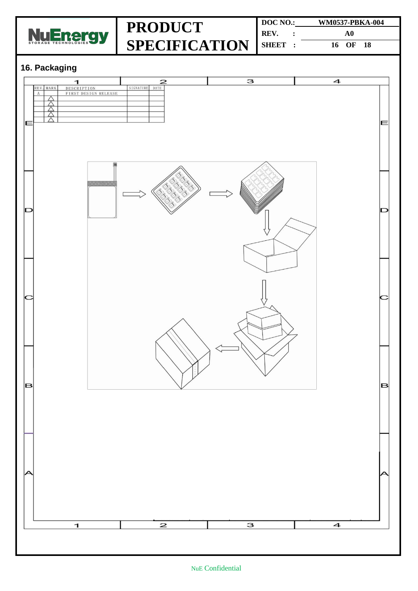

| DOC NO.: | WM0537-PBKA-004 |  |  |
|----------|-----------------|--|--|
| REV.     | A0              |  |  |
| SHEET :  | 16 OF 18        |  |  |

## **16. Packaging**

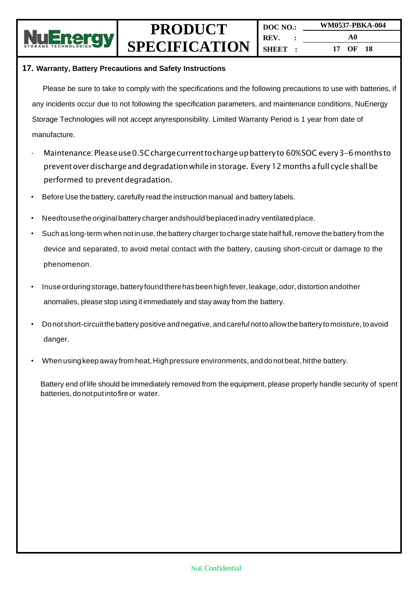

#### **17. Warranty, Battery Precautions and Safety Instructions**

Please be sure to take to comply with the specifications and the following precautions to use with batteries, if any incidents occur due to not following the specification parameters, and maintenance conditions, NuEnergy Storage Technologies will not accept anyresponsibility. Limited Warranty Period is 1 year from date of manufacture.

- Maintenance:Pleaseuse0.5Cchargecurrenttochargeupbatteryto 60%SOC every3-6monthsto preventoverdischargeanddegradationwhile instorage. Every12months a full cycle shallbe performed to prevent degradation.
- Before Use the battery, carefully read the instruction manual and battery labels.
- Needto usethe original battery charger and should be placed inadry ventilated place.
- Such as long-term when not in use, the battery charger to charge state half full, remove the battery from the device and separated, to avoid metal contact with the battery, causing short-circuit or damage to the phenomenon.
- Inuse orduring storage, battery found there has been high fever, leakage, odor, distortion andother anomalies, please stop using it immediately and stay away from the battery.
- Donot short-circuitthebattery positive andnegative, andcareful nottoallowthe battery tomoisture, toavoid danger.
- When using keep away from heat, High pressure environments, and donot beat, hit the battery.

Battery end of life should be immediately removed from the equipment, please properly handle security of spent batteries, donotputintofireor water.